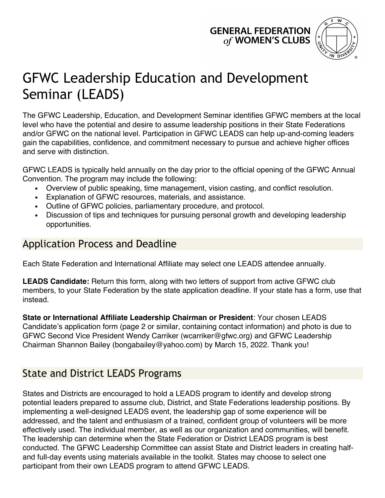## **GENERAL FEDERATION** of WOMEN'S CLUBS



# GFWC Leadership Education and Development Seminar (LEADS)

The GFWC Leadership, Education, and Development Seminar identifies GFWC members at the local level who have the potential and desire to assume leadership positions in their State Federations and/or GFWC on the national level. Participation in GFWC LEADS can help up-and-coming leaders gain the capabilities, confidence, and commitment necessary to pursue and achieve higher offices and serve with distinction.

GFWC LEADS is typically held annually on the day prior to the official opening of the GFWC Annual Convention. The program may include the following:

- **•** Overview of public speaking, time management, vision casting, and conflict resolution.
- **•** Explanation of GFWC resources, materials, and assistance.
- **•** Outline of GFWC policies, parliamentary procedure, and protocol.
- **•** Discussion of tips and techniques for pursuing personal growth and developing leadership opportunities.

#### Application Process and Deadline

Each State Federation and International Affiliate may select one LEADS attendee annually.

**LEADS Candidate:** Return this form, along with two letters of support from active GFWC club members, to your State Federation by the state application deadline. If your state has a form, use that instead.

**State or International Affiliate Leadership Chairman or President**: Your chosen LEADS Candidate's application form (page 2 or similar, containing contact information) and photo is due to GFWC Second Vice President Wendy Carriker (wcarriker@gfwc.org) and GFWC Leadership Chairman Shannon Bailey (bongabailey@yahoo.com) by March 15, 2022. Thank you!

### State and District LEADS Programs

States and Districts are encouraged to hold a LEADS program to identify and develop strong potential leaders prepared to assume club, District, and State Federations leadership positions. By implementing a well-designed LEADS event, the leadership gap of some experience will be addressed, and the talent and enthusiasm of a trained, confident group of volunteers will be more effectively used. The individual member, as well as our organization and communities, will benefit. The leadership can determine when the State Federation or District LEADS program is best conducted. The GFWC Leadership Committee can assist State and District leaders in creating halfand full-day events using materials available in the toolkit. States may choose to select one participant from their own LEADS program to attend GFWC LEADS.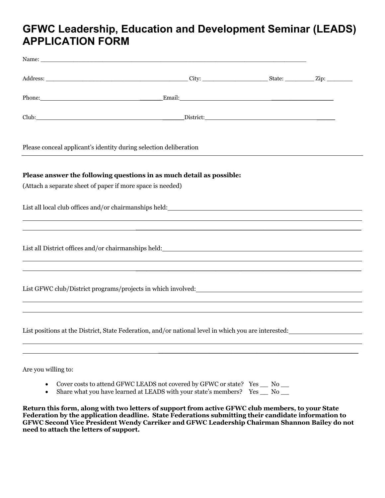#### **GFWC Leadership, Education and Development Seminar (LEADS) APPLICATION FORM**

| Please conceal applicant's identity during selection deliberation                                                                  |  |  |
|------------------------------------------------------------------------------------------------------------------------------------|--|--|
| Please answer the following questions in as much detail as possible:<br>(Attach a separate sheet of paper if more space is needed) |  |  |
| List all local club offices and/or chairmanships held:<br><u>List all local club offices and/or chairmanships held:</u>            |  |  |
| List all District offices and/or chairmanships held:<br><u>List all District offices and/or chairmanships held:</u>                |  |  |
| List GFWC club/District programs/projects in which involved:                                                                       |  |  |
| List positions at the District, State Federation, and/or national level in which you are interested:                               |  |  |
|                                                                                                                                    |  |  |

Are you willing to:

- Cover costs to attend GFWC LEADS not covered by GFWC or state? Yes \_\_ No \_\_
- Share what you have learned at LEADS with your state's members? Yes \_\_ No \_\_

**Return this form, along with two letters of support from active GFWC club members, to your State Federation by the application deadline. State Federations submitting their candidate information to GFWC Second Vice President Wendy Carriker and GFWC Leadership Chairman Shannon Bailey do not need to attach the letters of support.**